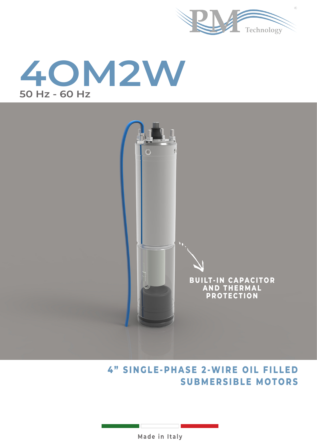





# **SUBMERSIBLE MOTORS 4" SINGLE-PHASE 2-WIRE OIL FILLED**

**Made in Italy**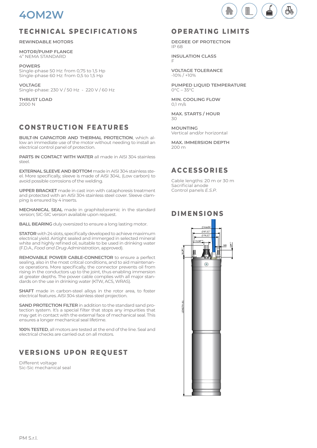

#### **TECHNICAL SPECIFICATIONS**

**REWINDABLE MOTORS**

**MOTOR/PUMP FLANGE** 4" NEMA STANDARD

**POWERS** Single-phase 50 Hz: from 0,75 to 1,5 Hp Single-phase 60 Hz: from 0,5 to 1,5 Hp

**VOLTAGE** Single-phase: 230 V / 50 Hz - 220 V / 60 Hz

**THRUST LOAD** 2000 N

## **CONSTRUCTION FEATURES**

**BUILT-IN CAPACITOR AND THERMAL PROTECTION**, which allow an immediate use of the motor without needing to install an electrical control panel of protection.

**PARTS IN CONTACT WITH WATER** all made in AISI 304 stainless steel.

**EXTERNAL SLEEVE AND BOTTOM** made in AISI 304 stainless steel. More specifically, sleeve is made of AISI 304L (Low carbon) to avoid possible corrosions of the welding.

**UPPER BRACKET** made in cast iron with cataphoresis treatment and protected with an AISI 304 stainless steel cover. Sleeve clamping is ensured by 4 inserts.

**MECHANICAL SEAL** made in graphite/ceramic in the standard version; SIC-SIC version available upon request.

**BALL BEARING** duly oversized to ensure a long lasting motor.

**STATOR** with 24 slots, specifically developed to achieve maximum electrical yield. Airtight sealed and immerged in selected mineral white and highly refined oil, suitable to be used in drinking water (F.D.A., *Food and Drug Administration*, approved).

**REMOVABLE POWER CABLE-CONNECTOR** to ensure a perfect sealing, also in the most critical conditions, and to aid maintenance operations. More specifically, the connector prevents oil from rising in the conductors up to the joint, thus enabling immersion at greater depths. The power cable complies with all major standards on the use in drinking water (KTW, ACS, WRAS).

**SHAFT** made in carbon-steel alloys in the rotor area, to foster electrical features. AISI 304 stainless steel projection.

**SAND PROTECTION FILTER** in addition to the standard sand protection system. It's a special filter that stops any impurities that may get in contact with the external face of mechanical seal. This ensures a longer mechanical seal lifetime.

**100% TESTED**, all motors are tested at the end of the line. Seal and electrical checks are carried out on all motors.

# **VERSIONS UPON REQUEST**

Different voltage Sic-Sic mechanical seal

#### **OPERATING LIMITS**

 $(n)$ 

**DEGREE OF PROTECTION** IP 68

**INSULATION CLASS** F

**VOLTAGE TOLERANCE** -10% / +10%

**PUMPED LIQUID TEMPERATURE**  $0^{\circ}C - 35^{\circ}C$ 

**MIN. COOLING FLOW**  $0.1$  m/s

**MAX. STARTS / HOUR**  $30$ 

**MOUNTING** Vertical and/or horizontal

**MAX. IMMERSION DEPTH** 200 m

#### **A C C E S S O R I E S**

Cable lengths: 20 m or 30 m Sacrificial anode Control panels *E.S.P.*

#### **DIMENSIONS**

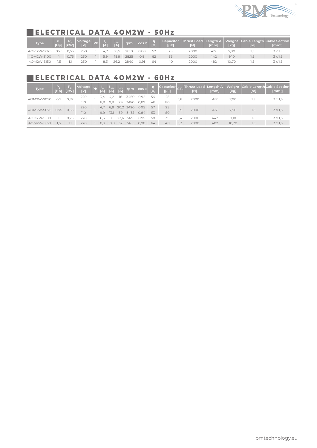

### **ELECTRICAL DATA 4OM2W - 50Hz**

| Type       | THp]\ | KW   | Voltage Ph<br><b>TVI</b> | $\overrightarrow{[A]}$ |      | $\sqrt{\frac{I_{\text{av}}}{[A]}}$ rpm $\cos \phi$ |      | [%] | $[\mu F]$ | [N]  | [mm] | [kg]  | [m] | Capacitor  Thrust Load   Length A   Weight  Cable Length Cable Section  <br>$[mm^2]$ |
|------------|-------|------|--------------------------|------------------------|------|----------------------------------------------------|------|-----|-----------|------|------|-------|-----|--------------------------------------------------------------------------------------|
| 40M2W-S075 |       | 0.55 | 230                      | 47                     | 16.5 | 2810                                               | 0.88 | 57  | 25        | 2000 | 41.  | 7.90  | . 5 | $3 \times 1.5$                                                                       |
| 40M2W-S100 |       | 0.75 | 230                      | 5.9                    | 18,9 | 2825                                               | 0.9  | 62  | 35        | 2000 | 442  | 9.10  | 5   | 3 x 1,5                                                                              |
| 40M2W-S150 |       |      | 230                      |                        | 26.2 | 284C                                               | 0.91 | 64  | 40        | 2000 | 482  | 10.70 | د.، | $3 \times 1.5$                                                                       |

#### **ELECTRICAL DATA 4OM2W - 60Hz**

| <b>Type</b> | Р.,<br>[Hp] | Р.<br>[kW] | Voltage<br>[V] | Ph | [A] | [A]     | $\overline{[A]}$ | rpm       | $\cos \varphi$ | [%] | Capacitor <br>[µF] | S.F. | <b>Thrust Load</b><br>$\overline{[N]}$ | Length A<br>[mm] | [kg]  | Weight Cable Length Cable Section<br>[ <sub>m</sub> ] | $\text{[mm}^2$ |
|-------------|-------------|------------|----------------|----|-----|---------|------------------|-----------|----------------|-----|--------------------|------|----------------------------------------|------------------|-------|-------------------------------------------------------|----------------|
| 40M2W-S050  | 0,5         | 0,37       | 220            |    | 3.4 | 4.2     | 16               | 3450      | 0,92           | 54  | 25                 | 1,6  | 2000                                   | 417              | 7,90  | 1,5                                                   | $3 \times 1.5$ |
|             |             |            | 110            |    | 6.8 | 9.9     | 29               | 3470      | 0.89           | 48  | 80                 |      |                                        |                  |       |                                                       |                |
| 40M2W-S075  | 0.75        | 0,55       | 220            |    | 4.7 | 6.8     |                  | 20,2 3420 | 0,95           | 57  | 25                 | 1.5  | 2000                                   |                  | 7,90  | 1,5                                                   | $3 \times 1.5$ |
|             |             |            | 110            |    | 9.9 | $-13.1$ | 39               | 3435      | 0.84           | 53  | 80                 |      |                                        | 417              |       |                                                       |                |
| 40M2W-S100  |             | 0.75       | 220            |    | 6.3 | 8,1     | 22,6             | 3435      | 0,95           | 58  | 35                 | $+4$ | 2000                                   | 442              | 9,10  | 1,5                                                   | $3 \times 1.5$ |
| 40M2W-S150  | 1,5         |            | 220            |    | 8.3 | 10,8    | 32               | $3455 -$  | 0.98           | 64  | 40                 | 1,3  | 2000                                   | 482              | 10,70 | 1,5                                                   | $3 \times 1.5$ |